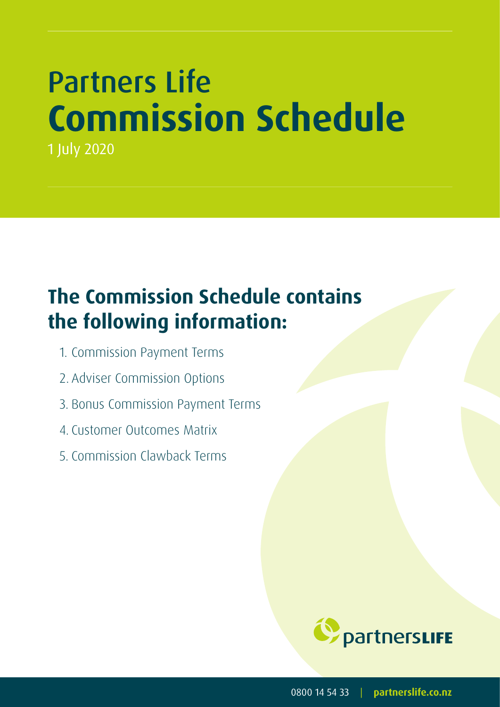# Partners Life **Commission Schedule** 1 July 2020

# **The Commission Schedule contains the following information:**

- 1. Commission Payment Terms
- 2. Adviser Commission Options
- 3. Bonus Commission Payment Terms
- 4. Customer Outcomes Matrix
- 5. Commission Clawback Terms



0800 14 54 33 | **partnerslife.co.nz**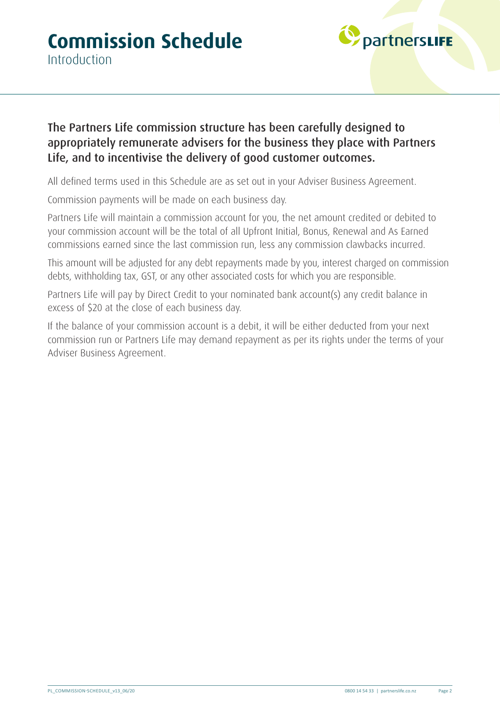

#### The Partners Life commission structure has been carefully designed to appropriately remunerate advisers for the business they place with Partners Life, and to incentivise the delivery of good customer outcomes.

All defined terms used in this Schedule are as set out in your Adviser Business Agreement.

Commission payments will be made on each business day.

Partners Life will maintain a commission account for you, the net amount credited or debited to your commission account will be the total of all Upfront Initial, Bonus, Renewal and As Earned commissions earned since the last commission run, less any commission clawbacks incurred.

This amount will be adjusted for any debt repayments made by you, interest charged on commission debts, withholding tax, GST, or any other associated costs for which you are responsible.

Partners Life will pay by Direct Credit to your nominated bank account(s) any credit balance in excess of \$20 at the close of each business day.

If the balance of your commission account is a debit, it will be either deducted from your next commission run or Partners Life may demand repayment as per its rights under the terms of your Adviser Business Agreement.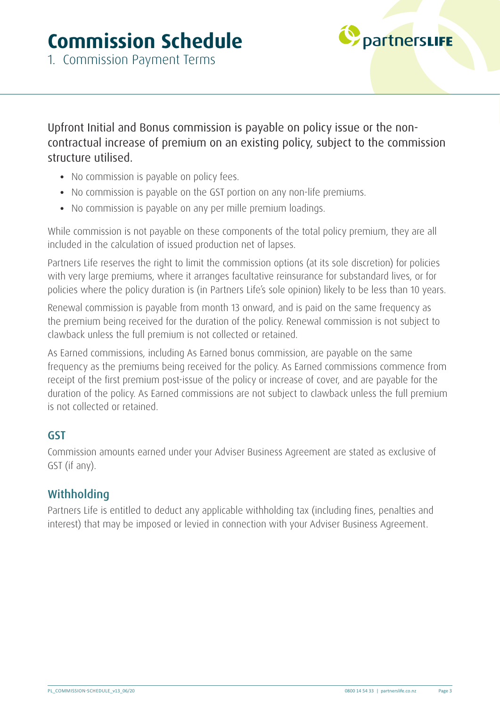### **Commission Schedule**



1. Commission Payment Terms

Upfront Initial and Bonus commission is payable on policy issue or the noncontractual increase of premium on an existing policy, subject to the commission structure utilised.

- No commission is payable on policy fees.
- No commission is payable on the GST portion on any non-life premiums.
- No commission is payable on any per mille premium loadings.

While commission is not payable on these components of the total policy premium, they are all included in the calculation of issued production net of lapses.

Partners Life reserves the right to limit the commission options (at its sole discretion) for policies with very large premiums, where it arranges facultative reinsurance for substandard lives, or for policies where the policy duration is (in Partners Life's sole opinion) likely to be less than 10 years.

Renewal commission is payable from month 13 onward, and is paid on the same frequency as the premium being received for the duration of the policy. Renewal commission is not subject to clawback unless the full premium is not collected or retained.

As Earned commissions, including As Earned bonus commission, are payable on the same frequency as the premiums being received for the policy. As Earned commissions commence from receipt of the first premium post-issue of the policy or increase of cover, and are payable for the duration of the policy. As Earned commissions are not subject to clawback unless the full premium is not collected or retained.

#### GST

Commission amounts earned under your Adviser Business Agreement are stated as exclusive of GST (if any).

#### **Withholding**

Partners Life is entitled to deduct any applicable withholding tax (including fines, penalties and interest) that may be imposed or levied in connection with your Adviser Business Agreement.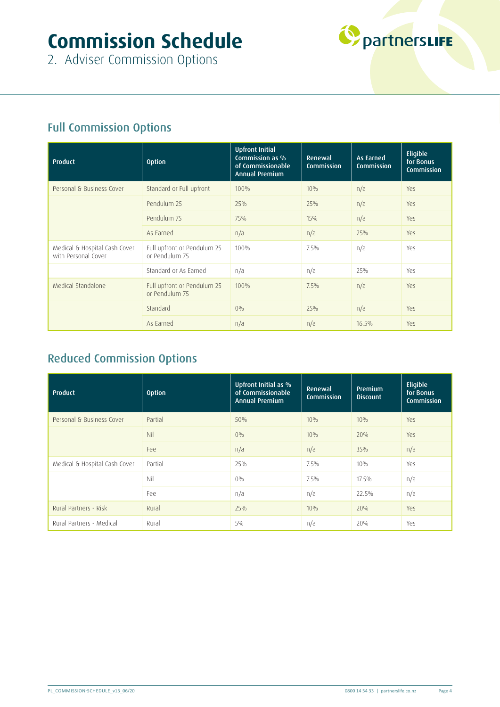## **Commission Schedule**



2. Adviser Commission Options

### Full Commission Options

| Product                                              | <b>Option</b>                                 | <b>Upfront Initial</b><br>Commission as %<br>of Commissionable<br><b>Annual Premium</b> | Renewal<br><b>Commission</b> | As Earned<br><b>Commission</b> | Eligible<br>for Bonus<br><b>Commission</b> |
|------------------------------------------------------|-----------------------------------------------|-----------------------------------------------------------------------------------------|------------------------------|--------------------------------|--------------------------------------------|
| Personal & Business Cover                            | Standard or Full upfront                      | 100%                                                                                    | 10%                          | n/a                            | Yes                                        |
|                                                      | Pendulum 25                                   | 25%                                                                                     | 25%                          | n/a                            | Yes                                        |
|                                                      | Pendulum 75                                   | 75%                                                                                     | 15%                          | n/a                            | Yes                                        |
|                                                      | As Earned                                     | n/a                                                                                     | n/a                          | 25%                            | Yes                                        |
| Medical & Hospital Cash Cover<br>with Personal Cover | Full upfront or Pendulum 25<br>or Pendulum 75 | 100%                                                                                    | $7.5\%$                      | n/a                            | Yes                                        |
|                                                      | Standard or As Earned                         | n/a                                                                                     | n/a                          | 25%                            | Yes                                        |
| Medical Standalone                                   | Full upfront or Pendulum 25<br>or Pendulum 75 | 100%                                                                                    | 7.5%                         | n/a                            | Yes                                        |
|                                                      | Standard                                      | $0\%$                                                                                   | 25%                          | n/a                            | Yes                                        |
|                                                      | As Earned                                     | n/a                                                                                     | n/a                          | 16.5%                          | Yes                                        |

### Reduced Commission Options

| Product                       | <b>Option</b> | Upfront Initial as %<br>of Commissionable<br><b>Annual Premium</b> | Renewal<br><b>Commission</b> | Premium<br><b>Discount</b> | Eligible<br>for Bonus<br><b>Commission</b> |
|-------------------------------|---------------|--------------------------------------------------------------------|------------------------------|----------------------------|--------------------------------------------|
| Personal & Business Cover     | Partial       | 50%                                                                | 10%                          | 10%                        | Yes                                        |
|                               | Nil           | $0\%$                                                              | 10%                          | 20%                        | Yes                                        |
|                               | Fee           | n/a                                                                | n/a                          | 35%                        | n/a                                        |
| Medical & Hospital Cash Cover | Partial       | 25%                                                                | 7.5%                         | 10%                        | Yes                                        |
|                               | Nil           | $0\%$                                                              | 7.5%                         | 17.5%                      | n/a                                        |
|                               | Fee           | n/a                                                                | n/a                          | 22.5%                      | n/a                                        |
| Rural Partners - Risk         | Rural         | 25%                                                                | 10%                          | 20%                        | Yes                                        |
| Rural Partners - Medical      | Rural         | $5\%$                                                              | n/a                          | 20%                        | Yes                                        |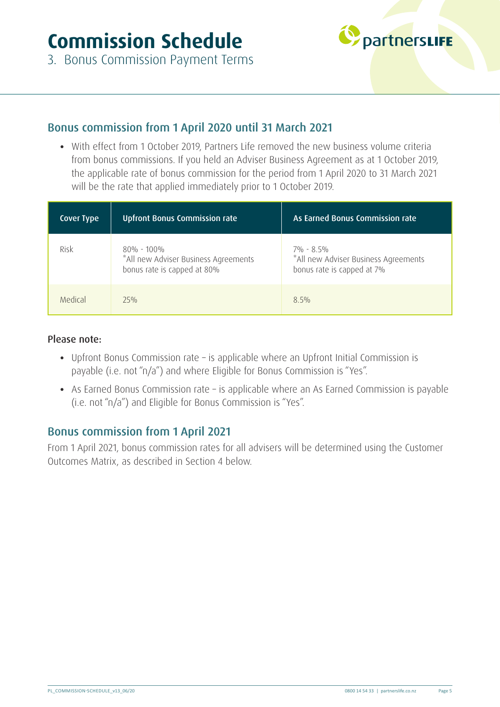

3. Bonus Commission Payment Terms

#### Bonus commission from 1 April 2020 until 31 March 2021

• With effect from 1 October 2019, Partners Life removed the new business volume criteria from bonus commissions. If you held an Adviser Business Agreement as at 1 October 2019, the applicable rate of bonus commission for the period from 1 April 2020 to 31 March 2021 will be the rate that applied immediately prior to 1 October 2019.

| <b>Cover Type</b> | <b>Upfront Bonus Commission rate</b>                                                 | As Earned Bonus Commission rate                                                 |
|-------------------|--------------------------------------------------------------------------------------|---------------------------------------------------------------------------------|
| Risk              | $80\%$ - 100%<br>*All new Adviser Business Agreements<br>bonus rate is capped at 80% | 7% - 8.5%<br>*All new Adviser Business Agreements<br>bonus rate is capped at 7% |
| Medical           | 75%                                                                                  | $8.5\%$                                                                         |

#### Please note:

- Upfront Bonus Commission rate is applicable where an Upfront Initial Commission is payable (i.e. not "n/a") and where Eligible for Bonus Commission is "Yes".
- As Earned Bonus Commission rate is applicable where an As Earned Commission is payable (i.e. not "n/a") and Eligible for Bonus Commission is "Yes".

#### Bonus commission from 1 April 2021

From 1 April 2021, bonus commission rates for all advisers will be determined using the Customer Outcomes Matrix, as described in Section 4 below.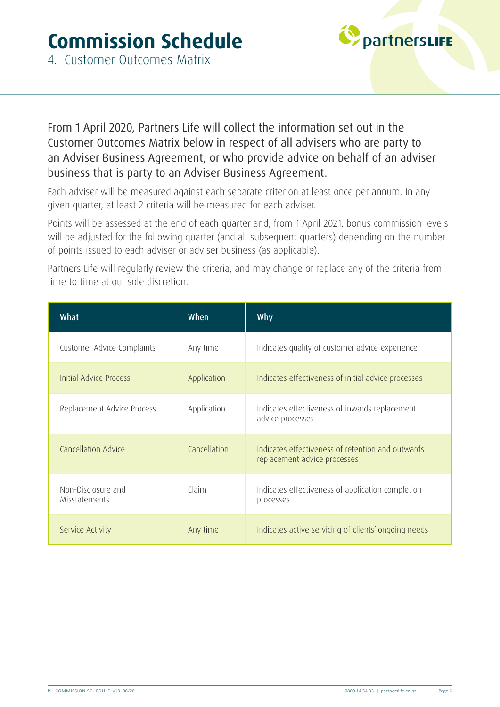

From 1 April 2020, Partners Life will collect the information set out in the Customer Outcomes Matrix below in respect of all advisers who are party to an Adviser Business Agreement, or who provide advice on behalf of an adviser business that is party to an Adviser Business Agreement.

Each adviser will be measured against each separate criterion at least once per annum. In any given quarter, at least 2 criteria will be measured for each adviser.

Points will be assessed at the end of each quarter and, from 1 April 2021, bonus commission levels will be adjusted for the following quarter (and all subsequent quarters) depending on the number of points issued to each adviser or adviser business (as applicable).

Partners Life will regularly review the criteria, and may change or replace any of the criteria from time to time at our sole discretion.

| What                                       | When         | Why                                                                               |
|--------------------------------------------|--------------|-----------------------------------------------------------------------------------|
| Customer Advice Complaints                 | Any time     | Indicates quality of customer advice experience                                   |
| <b>Initial Advice Process</b>              | Application  | Indicates effectiveness of initial advice processes                               |
| Replacement Advice Process                 | Application  | Indicates effectiveness of inwards replacement<br>advice processes                |
| Cancellation Advice                        | Cancellation | Indicates effectiveness of retention and outwards<br>replacement advice processes |
| Non-Disclosure and<br><b>Misstatements</b> | Claim        | Indicates effectiveness of application completion<br>processes                    |
| Service Activity                           | Any time     | Indicates active servicing of clients' ongoing needs                              |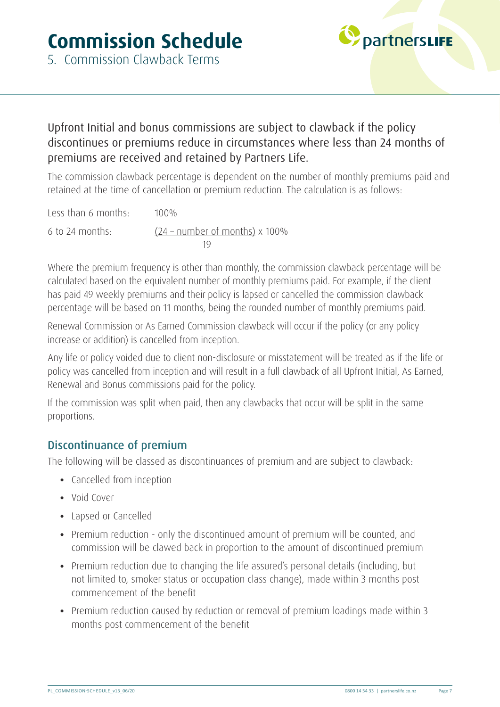

#### Upfront Initial and bonus commissions are subject to clawback if the policy discontinues or premiums reduce in circumstances where less than 24 months of premiums are received and retained by Partners Life.

The commission clawback percentage is dependent on the number of monthly premiums paid and retained at the time of cancellation or premium reduction. The calculation is as follows:

Less than 6 months: 100% 6 to 24 months:  $(24 - number of months) \times 100\%$ 19

Where the premium frequency is other than monthly, the commission clawback percentage will be calculated based on the equivalent number of monthly premiums paid. For example, if the client has paid 49 weekly premiums and their policy is lapsed or cancelled the commission clawback percentage will be based on 11 months, being the rounded number of monthly premiums paid.

Renewal Commission or As Earned Commission clawback will occur if the policy (or any policy increase or addition) is cancelled from inception.

Any life or policy voided due to client non-disclosure or misstatement will be treated as if the life or policy was cancelled from inception and will result in a full clawback of all Upfront Initial, As Earned, Renewal and Bonus commissions paid for the policy.

If the commission was split when paid, then any clawbacks that occur will be split in the same proportions.

#### Discontinuance of premium

The following will be classed as discontinuances of premium and are subject to clawback:

- Cancelled from inception
- Void Cover
- Lapsed or Cancelled
- Premium reduction only the discontinued amount of premium will be counted, and commission will be clawed back in proportion to the amount of discontinued premium
- Premium reduction due to changing the life assured's personal details (including, but not limited to, smoker status or occupation class change), made within 3 months post commencement of the benefit
- Premium reduction caused by reduction or removal of premium loadings made within 3 months post commencement of the benefit